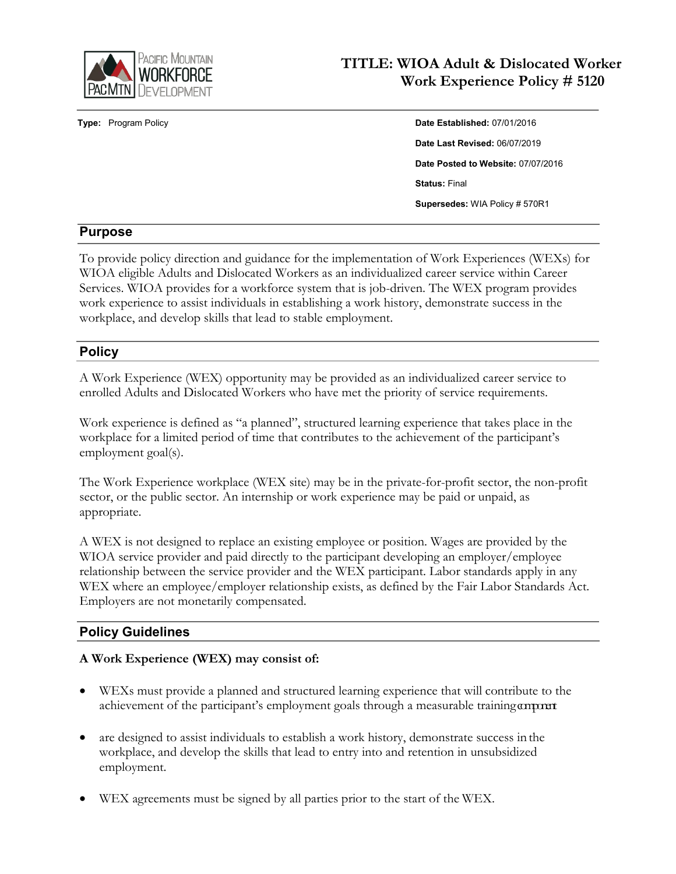

# **TITLE: WIOA Adult & Dislocated Worker Work Experience Policy # 5120**

**Type:** Program Policy **Date Established:** 07/01/2016 **Date Last Revised:** 06/07/2019 **Date Posted to Website:** 07/07/2016 **Status:** Final **Supersedes:** WIA Policy # 570R1

#### **Purpose**

To provide policy direction and guidance for the implementation of Work Experiences (WEXs) for WIOA eligible Adults and Dislocated Workers as an individualized career service within Career Services. WIOA provides for a workforce system that is job-driven. The WEX program provides work experience to assist individuals in establishing a work history, demonstrate success in the workplace, and develop skills that lead to stable employment.

#### **Policy**

A Work Experience (WEX) opportunity may be provided as an individualized career service to enrolled Adults and Dislocated Workers who have met the priority of service requirements.

Work experience is defined as "a planned", structured learning experience that takes place in the workplace for a limited period of time that contributes to the achievement of the participant's employment goal(s).

The Work Experience workplace (WEX site) may be in the private-for-profit sector, the non-profit sector, or the public sector. An internship or work experience may be paid or unpaid, as appropriate.

A WEX is not designed to replace an existing employee or position. Wages are provided by the WIOA service provider and paid directly to the participant developing an employer/employee relationship between the service provider and the WEX participant. Labor standards apply in any WEX where an employee/employer relationship exists, as defined by the Fair Labor Standards Act. Employers are not monetarily compensated.

#### **Policy Guidelines**

#### **A Work Experience (WEX) may consist of:**

- WEXs must provide a planned and structured learning experience that will contribute to the achievement of the participant's employment goals through a measurable training component
- are designed to assist individuals to establish a work history, demonstrate success in the workplace, and develop the skills that lead to entry into and retention in unsubsidized employment.
- WEX agreements must be signed by all parties prior to the start of the WEX.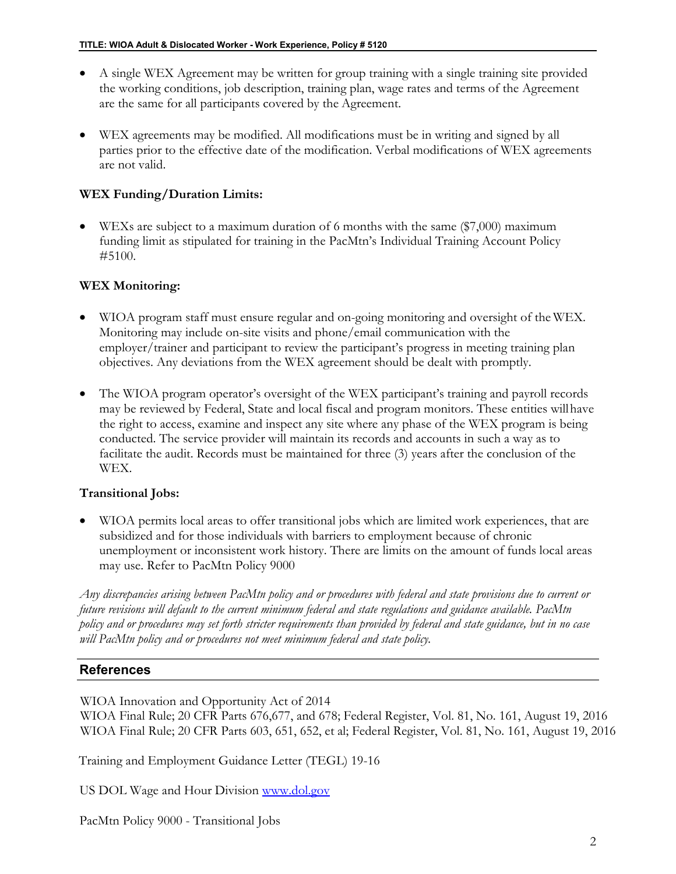- A single WEX Agreement may be written for group training with a single training site provided the working conditions, job description, training plan, wage rates and terms of the Agreement are the same for all participants covered by the Agreement.
- WEX agreements may be modified. All modifications must be in writing and signed by all parties prior to the effective date of the modification. Verbal modifications of WEX agreements are not valid.

#### **WEX Funding/Duration Limits:**

• WEXs are subject to a maximum duration of 6 months with the same (\$7,000) maximum funding limit as stipulated for training in the PacMtn's Individual Training Account Policy #5100.

### **WEX Monitoring:**

- WIOA program staff must ensure regular and on-going monitoring and oversight of the WEX. Monitoring may include on-site visits and phone/email communication with the employer/trainer and participant to review the participant's progress in meeting training plan objectives. Any deviations from the WEX agreement should be dealt with promptly.
- The WIOA program operator's oversight of the WEX participant's training and payroll records may be reviewed by Federal, State and local fiscal and program monitors. These entities willhave the right to access, examine and inspect any site where any phase of the WEX program is being conducted. The service provider will maintain its records and accounts in such a way as to facilitate the audit. Records must be maintained for three (3) years after the conclusion of the WEX.

#### **Transitional Jobs:**

• WIOA permits local areas to offer transitional jobs which are limited work experiences, that are subsidized and for those individuals with barriers to employment because of chronic unemployment or inconsistent work history. There are limits on the amount of funds local areas may use. Refer to PacMtn Policy 9000

*Any discrepancies arising between PacMtn policy and or procedures with federal and state provisions due to current or future revisions will default to the current minimum federal and state regulations and guidance available. PacMtn policy and or procedures may set forth stricter requirements than provided by federal and state guidance, but in no case will PacMtn policy and or procedures not meet minimum federal and state policy.*

# **References**

WIOA Innovation and Opportunity Act of 2014

WIOA Final Rule; 20 CFR Parts 676,677, and 678; Federal Register, Vol. 81, No. 161, August 19, 2016 WIOA Final Rule; 20 CFR Parts 603, 651, 652, et al; Federal Register, Vol. 81, No. 161, August 19, 2016

Training and Employment Guidance Letter (TEGL) 19-16

US DOL Wage and Hour Division [www.dol.gov](http://www.dol.gov/)

PacMtn Policy 9000 - Transitional Jobs